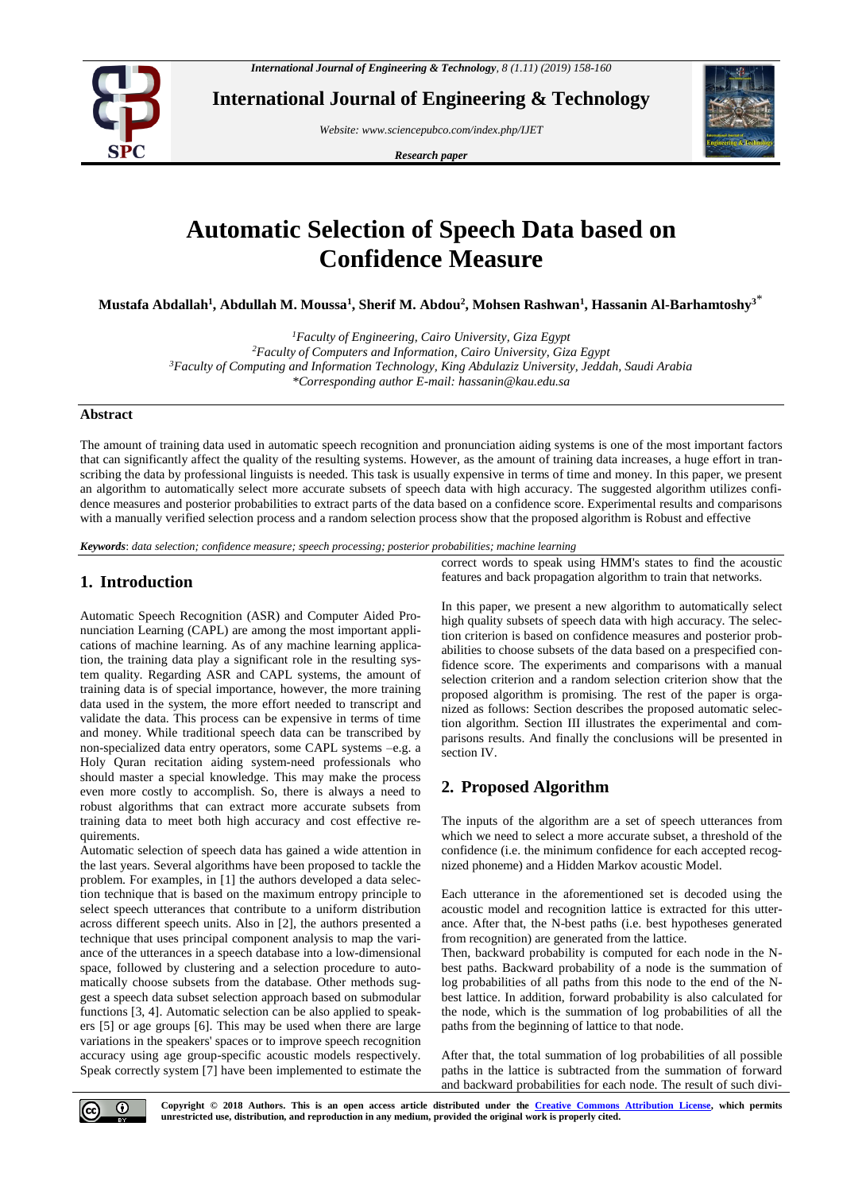

**International Journal of Engineering & Technology**

*Website[: www.sciencepubco.com/index.php/IJET](http://www.sciencepubco.com/index.php/IJET)*

*Research paper*



# **Automatic Selection of Speech Data based on Confidence Measure**

**Mustafa Abdallah<sup>1</sup> , Abdullah M. Moussa<sup>1</sup> , Sherif M. Abdou<sup>2</sup> , Mohsen Rashwan<sup>1</sup> , Hassanin Al-Barhamtoshy<sup>3</sup>**\*

*<sup>1</sup>Faculty of Engineering, Cairo University, Giza Egypt*

*<sup>2</sup>Faculty of Computers and Information, Cairo University, Giza Egypt <sup>3</sup>Faculty of Computing and Information Technology, King Abdulaziz University, Jeddah, Saudi Arabia \*Corresponding author E-mail: hassanin@kau.edu.sa*

### **Abstract**

The amount of training data used in automatic speech recognition and pronunciation aiding systems is one of the most important factors that can significantly affect the quality of the resulting systems. However, as the amount of training data increases, a huge effort in transcribing the data by professional linguists is needed. This task is usually expensive in terms of time and money. In this paper, we present an algorithm to automatically select more accurate subsets of speech data with high accuracy. The suggested algorithm utilizes confidence measures and posterior probabilities to extract parts of the data based on a confidence score. Experimental results and comparisons with a manually verified selection process and a random selection process show that the proposed algorithm is Robust and effective

*Keywords*: *data selection; confidence measure; speech processing; posterior probabilities; machine learning*

## **1. Introduction**

Automatic Speech Recognition (ASR) and Computer Aided Pronunciation Learning (CAPL) are among the most important applications of machine learning. As of any machine learning application, the training data play a significant role in the resulting system quality. Regarding ASR and CAPL systems, the amount of training data is of special importance, however, the more training data used in the system, the more effort needed to transcript and validate the data. This process can be expensive in terms of time and money. While traditional speech data can be transcribed by non-specialized data entry operators, some CAPL systems –e.g. a Holy Quran recitation aiding system-need professionals who should master a special knowledge. This may make the process even more costly to accomplish. So, there is always a need to robust algorithms that can extract more accurate subsets from training data to meet both high accuracy and cost effective requirements.

Automatic selection of speech data has gained a wide attention in the last years. Several algorithms have been proposed to tackle the problem. For examples, in [1] the authors developed a data selection technique that is based on the maximum entropy principle to select speech utterances that contribute to a uniform distribution across different speech units. Also in [2], the authors presented a technique that uses principal component analysis to map the variance of the utterances in a speech database into a low-dimensional space, followed by clustering and a selection procedure to automatically choose subsets from the database. Other methods suggest a speech data subset selection approach based on submodular functions [3, 4]. Automatic selection can be also applied to speakers [5] or age groups [6]. This may be used when there are large variations in the speakers' spaces or to improve speech recognition accuracy using age group-specific acoustic models respectively. Speak correctly system [7] have been implemented to estimate the correct words to speak using HMM's states to find the acoustic features and back propagation algorithm to train that networks.

In this paper, we present a new algorithm to automatically select high quality subsets of speech data with high accuracy. The selection criterion is based on confidence measures and posterior probabilities to choose subsets of the data based on a prespecified confidence score. The experiments and comparisons with a manual selection criterion and a random selection criterion show that the proposed algorithm is promising. The rest of the paper is organized as follows: Section describes the proposed automatic selection algorithm. Section III illustrates the experimental and comparisons results. And finally the conclusions will be presented in section IV.

# **2. Proposed Algorithm**

The inputs of the algorithm are a set of speech utterances from which we need to select a more accurate subset, a threshold of the confidence (i.e. the minimum confidence for each accepted recognized phoneme) and a Hidden Markov acoustic Model.

Each utterance in the aforementioned set is decoded using the acoustic model and recognition lattice is extracted for this utterance. After that, the N-best paths (i.e. best hypotheses generated from recognition) are generated from the lattice.

Then, backward probability is computed for each node in the Nbest paths. Backward probability of a node is the summation of log probabilities of all paths from this node to the end of the Nbest lattice. In addition, forward probability is also calculated for the node, which is the summation of log probabilities of all the paths from the beginning of lattice to that node.

After that, the total summation of log probabilities of all possible paths in the lattice is subtracted from the summation of forward and backward probabilities for each node. The result of such divi-

**Copyright © 2018 Authors. This is an open access article distributed under the [Creative Commons Attribution License,](http://creativecommons.org/licenses/by/3.0/) which permits unrestricted use, distribution, and reproduction in any medium, provided the original work is properly cited.**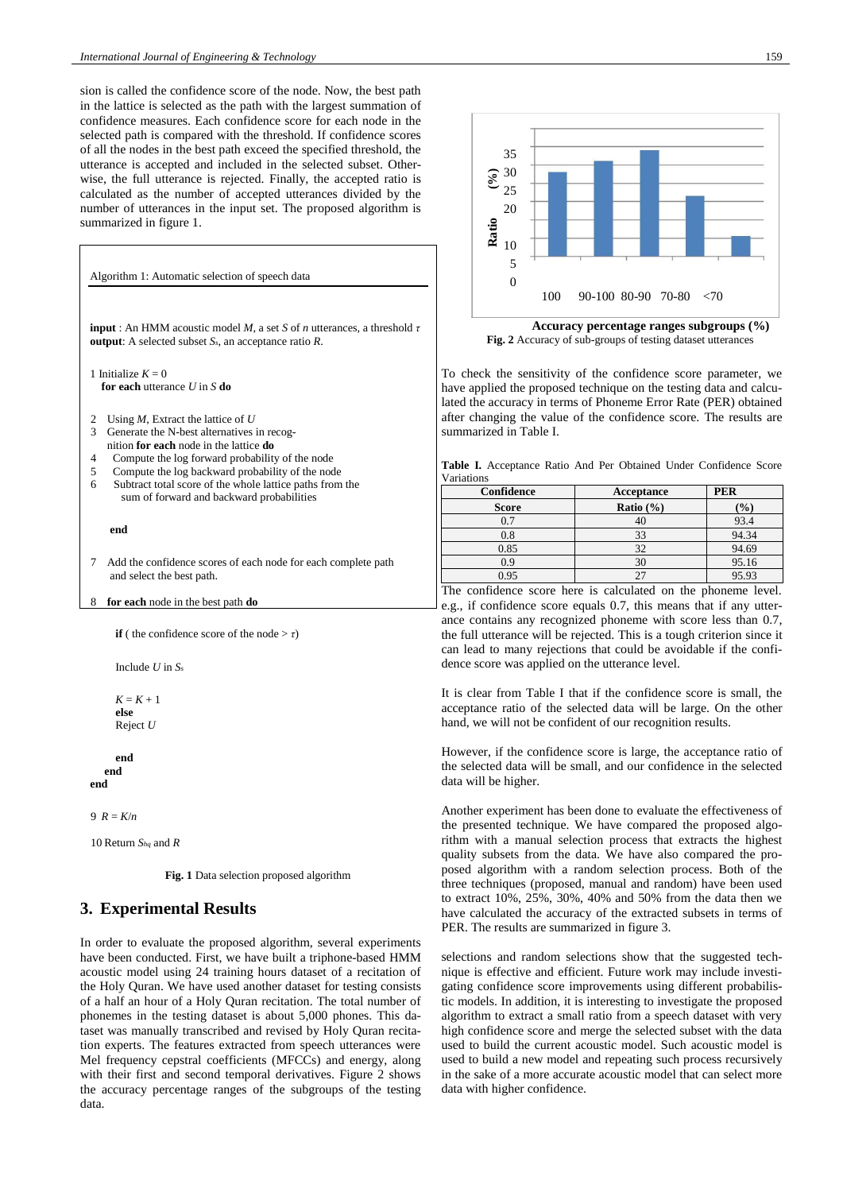sion is called the confidence score of the node. Now, the best path in the lattice is selected as the path with the largest summation of confidence measures. Each confidence score for each node in the selected path is compared with the threshold. If confidence scores of all the nodes in the best path exceed the specified threshold, the utterance is accepted and included in the selected subset. Otherwise, the full utterance is rejected. Finally, the accepted ratio is calculated as the number of accepted utterances divided by the number of utterances in the input set. The proposed algorithm is summarized in figure 1.



```
K = K + 1else
Reject U
```

```
end
  end
end
```
 $9 R = K/n$ 

10 Return *Shq* and *R*

**Fig. 1** Data selection proposed algorithm

# **3. Experimental Results**

In order to evaluate the proposed algorithm, several experiments have been conducted. First, we have built a triphone-based HMM acoustic model using 24 training hours dataset of a recitation of the Holy Quran. We have used another dataset for testing consists of a half an hour of a Holy Quran recitation. The total number of phonemes in the testing dataset is about 5,000 phones. This dataset was manually transcribed and revised by Holy Quran recitation experts. The features extracted from speech utterances were Mel frequency cepstral coefficients (MFCCs) and energy, along with their first and second temporal derivatives. Figure 2 shows the accuracy percentage ranges of the subgroups of the testing data.



**Accuracy percentage ranges subgroups (%) Fig. 2** Accuracy of sub-groups of testing dataset utterances

To check the sensitivity of the confidence score parameter, we have applied the proposed technique on the testing data and calculated the accuracy in terms of Phoneme Error Rate (PER) obtained after changing the value of the confidence score. The results are summarized in Table I.

**Table I.** Acceptance Ratio And Per Obtained Under Confidence Score Variations

| Confidence   | Acceptance    | <b>PER</b>    |
|--------------|---------------|---------------|
| <b>Score</b> | Ratio $(\% )$ | $\frac{1}{2}$ |
| 0.7          | 40            | 93.4          |
| 0.8          | 33            | 94.34         |
| 0.85         | 32            | 94.69         |
| 0.9          | 30            | 95.16         |
| 0.95         |               | 95.93         |

The confidence score here is calculated on the phoneme level. e.g., if confidence score equals 0.7, this means that if any utterance contains any recognized phoneme with score less than 0.7, the full utterance will be rejected. This is a tough criterion since it can lead to many rejections that could be avoidable if the confidence score was applied on the utterance level.

It is clear from Table I that if the confidence score is small, the acceptance ratio of the selected data will be large. On the other hand, we will not be confident of our recognition results.

However, if the confidence score is large, the acceptance ratio of the selected data will be small, and our confidence in the selected data will be higher.

Another experiment has been done to evaluate the effectiveness of the presented technique. We have compared the proposed algorithm with a manual selection process that extracts the highest quality subsets from the data. We have also compared the proposed algorithm with a random selection process. Both of the three techniques (proposed, manual and random) have been used to extract 10%, 25%, 30%, 40% and 50% from the data then we have calculated the accuracy of the extracted subsets in terms of PER. The results are summarized in figure 3.

selections and random selections show that the suggested technique is effective and efficient. Future work may include investigating confidence score improvements using different probabilistic models. In addition, it is interesting to investigate the proposed algorithm to extract a small ratio from a speech dataset with very high confidence score and merge the selected subset with the data used to build the current acoustic model. Such acoustic model is used to build a new model and repeating such process recursively in the sake of a more accurate acoustic model that can select more data with higher confidence.